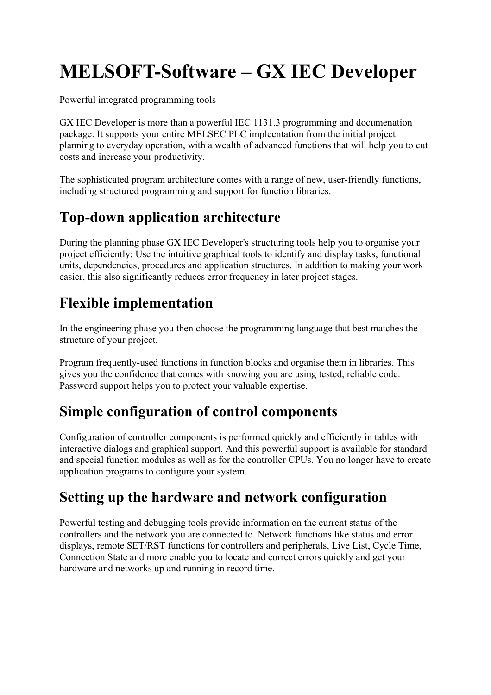# MELSOFT-Software – GX IEC Developer

Powerful integrated programming tools

GX IEC Developer is more than a powerful IEC 1131.3 programming and documenation package. It supports your entire MELSEC PLC impleentation from the initial project planning to everyday operation, with a wealth of advanced functions that will help you to cut costs and increase your productivity.

The sophisticated program architecture comes with a range of new, user-friendly functions, including structured programming and support for function libraries.

# Top-down application architecture

During the planning phase GX IEC Developer's structuring tools help you to organise your project efficiently: Use the intuitive graphical tools to identify and display tasks, functional units, dependencies, procedures and application structures. In addition to making your work easier, this also significantly reduces error frequency in later project stages.

# Flexible implementation

In the engineering phase you then choose the programming language that best matches the structure of your project.

Program frequently-used functions in function blocks and organise them in libraries. This gives you the confidence that comes with knowing you are using tested, reliable code. Password support helps you to protect your valuable expertise.

### Simple configuration of control components

Configuration of controller components is performed quickly and efficiently in tables with interactive dialogs and graphical support. And this powerful support is available for standard and special function modules as well as for the controller CPUs. You no longer have to create application programs to configure your system.

### Setting up the hardware and network configuration

Powerful testing and debugging tools provide information on the current status of the controllers and the network you are connected to. Network functions like status and error displays, remote SET/RST functions for controllers and peripherals, Live List, Cycle Time, Connection State and more enable you to locate and correct errors quickly and get your hardware and networks up and running in record time.